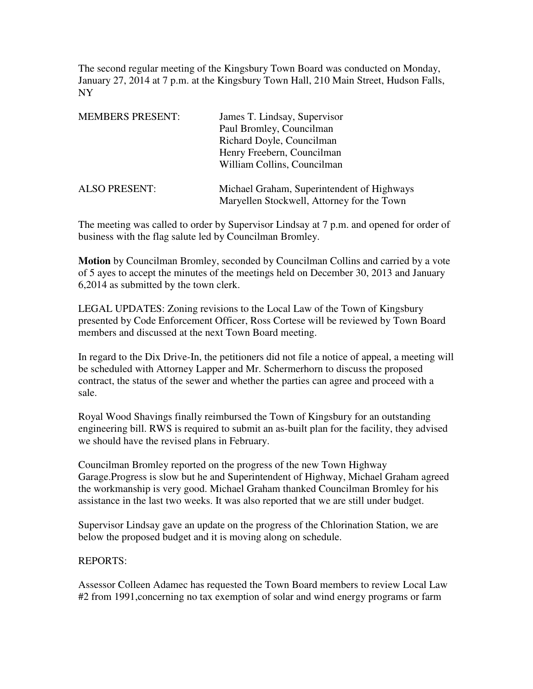The second regular meeting of the Kingsbury Town Board was conducted on Monday, January 27, 2014 at 7 p.m. at the Kingsbury Town Hall, 210 Main Street, Hudson Falls, NY

| <b>MEMBERS PRESENT:</b> | James T. Lindsay, Supervisor               |
|-------------------------|--------------------------------------------|
|                         | Paul Bromley, Councilman                   |
|                         | Richard Doyle, Councilman                  |
|                         | Henry Freebern, Councilman                 |
|                         | William Collins, Councilman                |
| <b>ALSO PRESENT:</b>    | Michael Graham, Superintendent of Highways |
|                         | Maryellen Stockwell, Attorney for the Town |

The meeting was called to order by Supervisor Lindsay at 7 p.m. and opened for order of business with the flag salute led by Councilman Bromley.

**Motion** by Councilman Bromley, seconded by Councilman Collins and carried by a vote of 5 ayes to accept the minutes of the meetings held on December 30, 2013 and January 6,2014 as submitted by the town clerk.

LEGAL UPDATES: Zoning revisions to the Local Law of the Town of Kingsbury presented by Code Enforcement Officer, Ross Cortese will be reviewed by Town Board members and discussed at the next Town Board meeting.

In regard to the Dix Drive-In, the petitioners did not file a notice of appeal, a meeting will be scheduled with Attorney Lapper and Mr. Schermerhorn to discuss the proposed contract, the status of the sewer and whether the parties can agree and proceed with a sale.

Royal Wood Shavings finally reimbursed the Town of Kingsbury for an outstanding engineering bill. RWS is required to submit an as-built plan for the facility, they advised we should have the revised plans in February.

Councilman Bromley reported on the progress of the new Town Highway Garage.Progress is slow but he and Superintendent of Highway, Michael Graham agreed the workmanship is very good. Michael Graham thanked Councilman Bromley for his assistance in the last two weeks. It was also reported that we are still under budget.

Supervisor Lindsay gave an update on the progress of the Chlorination Station, we are below the proposed budget and it is moving along on schedule.

## REPORTS:

Assessor Colleen Adamec has requested the Town Board members to review Local Law #2 from 1991,concerning no tax exemption of solar and wind energy programs or farm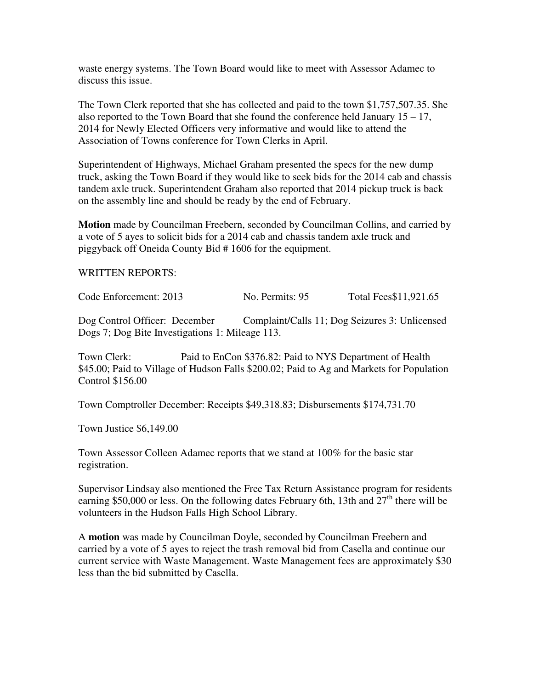waste energy systems. The Town Board would like to meet with Assessor Adamec to discuss this issue.

The Town Clerk reported that she has collected and paid to the town \$1,757,507.35. She also reported to the Town Board that she found the conference held January 15 – 17, 2014 for Newly Elected Officers very informative and would like to attend the Association of Towns conference for Town Clerks in April.

Superintendent of Highways, Michael Graham presented the specs for the new dump truck, asking the Town Board if they would like to seek bids for the 2014 cab and chassis tandem axle truck. Superintendent Graham also reported that 2014 pickup truck is back on the assembly line and should be ready by the end of February.

**Motion** made by Councilman Freebern, seconded by Councilman Collins, and carried by a vote of 5 ayes to solicit bids for a 2014 cab and chassis tandem axle truck and piggyback off Oneida County Bid # 1606 for the equipment.

## WRITTEN REPORTS:

Code Enforcement: 2013 No. Permits: 95 Total Fees\$11,921.65

Dog Control Officer: December Complaint/Calls 11; Dog Seizures 3: Unlicensed Dogs 7; Dog Bite Investigations 1: Mileage 113.

Town Clerk: Paid to EnCon \$376.82: Paid to NYS Department of Health \$45.00; Paid to Village of Hudson Falls \$200.02; Paid to Ag and Markets for Population Control \$156.00

Town Comptroller December: Receipts \$49,318.83; Disbursements \$174,731.70

Town Justice \$6,149.00

Town Assessor Colleen Adamec reports that we stand at 100% for the basic star registration.

Supervisor Lindsay also mentioned the Free Tax Return Assistance program for residents earning \$50,000 or less. On the following dates February 6th, 13th and 27<sup>th</sup> there will be volunteers in the Hudson Falls High School Library.

A **motion** was made by Councilman Doyle, seconded by Councilman Freebern and carried by a vote of 5 ayes to reject the trash removal bid from Casella and continue our current service with Waste Management. Waste Management fees are approximately \$30 less than the bid submitted by Casella.